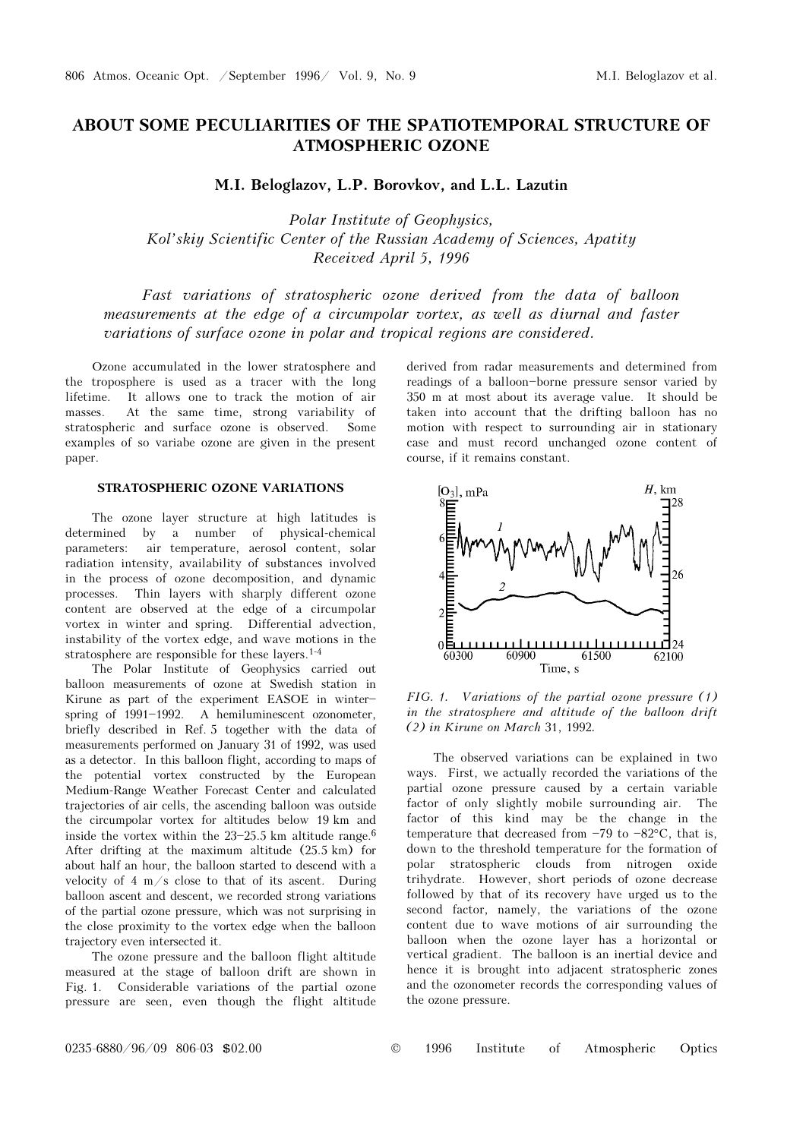# ABOUT SOME PECULIARITIES OF THE SPATIOTEMPORAL STRUCTURE OF ATMOSPHERIC OZONE

M.I. Beloglazov, L.P. Borovkov, and L.L. Lazutin

Polar Institute of Geophysics, Kol'skiy Scientific Center of the Russian Academy of Sciences, Apatity Received April 5, 1996

Fast variations of stratospheric ozone derived from the data of balloon measurements at the edge of a circumpolar vortex, as well as diurnal and faster variations of surface ozone in polar and tropical regions are considered.

Ozone accumulated in the lower stratosphere and the troposphere is used as a tracer with the long lifetime. It allows one to track the motion of air masses. At the same time, strong variability of stratospheric and surface ozone is observed. Some examples of so variabe ozone are given in the present paper.

# STRATOSPHERIC OZONE VARIATIONS

The ozone layer structure at high latitudes is determined by a number of physical-chemical parameters: air temperature, aerosol content, solar radiation intensity, availability of substances involved in the process of ozone decomposition, and dynamic processes. Thin layers with sharply different ozone content are observed at the edge of a circumpolar vortex in winter and spring. Differential advection, instability of the vortex edge, and wave motions in the stratosphere are responsible for these layers.1-4

The Polar Institute of Geophysics carried out balloon measurements of ozone at Swedish station in Kirune as part of the experiment EASOE in winter\$ spring of  $1991-1992$ . A hemiluminescent ozonometer, briefly described in Ref. 5 together with the data of measurements performed on January 31 of 1992, was used as a detector. In this balloon flight, according to maps of the potential vortex constructed by the European Medium-Range Weather Forecast Center and calculated trajectories of air cells, the ascending balloon was outside the circumpolar vortex for altitudes below 19 km and inside the vortex within the  $23-25.5$  km altitude range.<sup>6</sup> After drifting at the maximum altitude (25.5 km) for about half an hour, the balloon started to descend with a velocity of  $4 \text{ m/s}$  close to that of its ascent. During balloon ascent and descent, we recorded strong variations of the partial ozone pressure, which was not surprising in the close proximity to the vortex edge when the balloon trajectory even intersected it.

The ozone pressure and the balloon flight altitude measured at the stage of balloon drift are shown in Fig. 1. Considerable variations of the partial ozone pressure are seen, even though the flight altitude derived from radar measurements and determined from readings of a balloon-borne pressure sensor varied by 350 m at most about its average value. It should be taken into account that the drifting balloon has no motion with respect to surrounding air in stationary case and must record unchanged ozone content of course, if it remains constant.



FIG. 1. Variations of the partial ozone pressure (1) in the stratosphere and altitude of the balloon drift (2) in Kirune on March 31, 1992.

The observed variations can be explained in two ways. First, we actually recorded the variations of the partial ozone pressure caused by a certain variable factor of only slightly mobile surrounding air. The factor of this kind may be the change in the temperature that decreased from  $-79$  to  $-82^{\circ}$ C, that is, down to the threshold temperature for the formation of polar stratospheric clouds from nitrogen oxide trihydrate. However, short periods of ozone decrease followed by that of its recovery have urged us to the second factor, namely, the variations of the ozone content due to wave motions of air surrounding the balloon when the ozone layer has a horizontal or vertical gradient. The balloon is an inertial device and hence it is brought into adjacent stratospheric zones and the ozonometer records the corresponding values of the ozone pressure.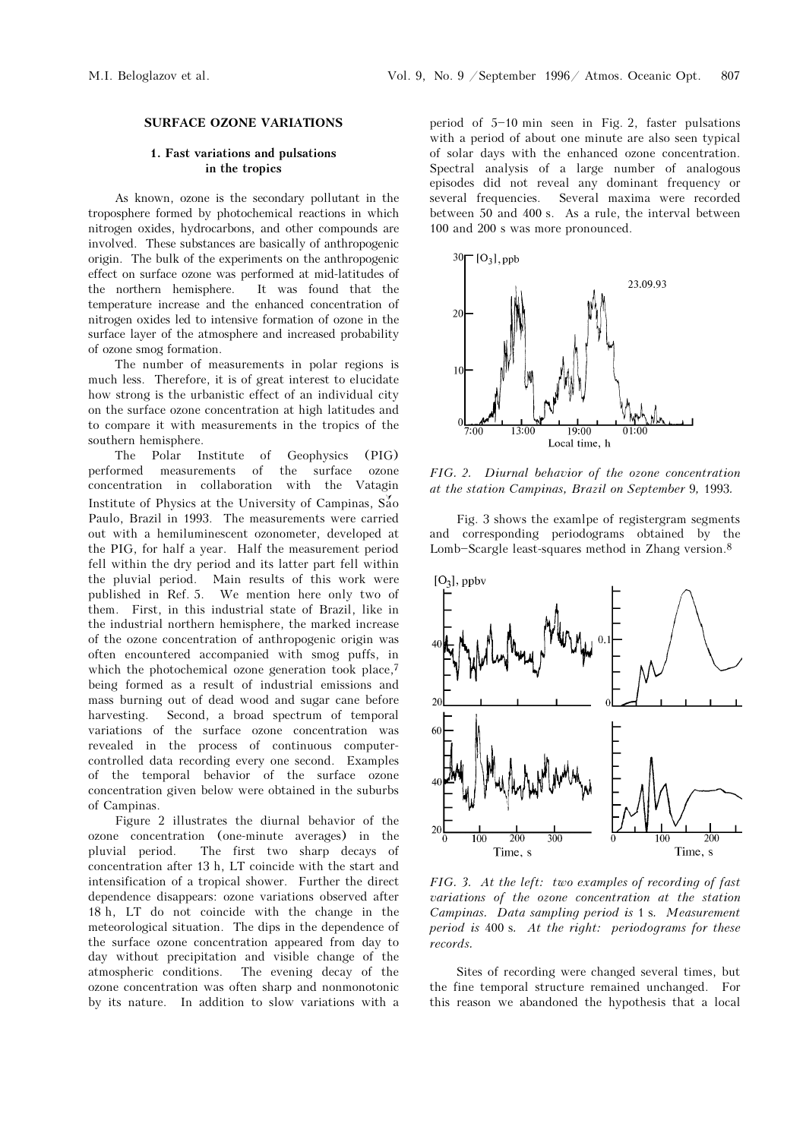#### SURFACE OZONE VARIATIONS

## 1. Fast variations and pulsations in the tropics

As known, ozone is the secondary pollutant in the troposphere formed by photochemical reactions in which nitrogen oxides, hydrocarbons, and other compounds are involved. These substances are basically of anthropogenic origin. The bulk of the experiments on the anthropogenic effect on surface ozone was performed at mid-latitudes of the northern hemisphere. It was found that the temperature increase and the enhanced concentration of nitrogen oxides led to intensive formation of ozone in the surface layer of the atmosphere and increased probability of ozone smog formation.

The number of measurements in polar regions is much less. Therefore, it is of great interest to elucidate how strong is the urbanistic effect of an individual city on the surface ozone concentration at high latitudes and to compare it with measurements in the tropics of the southern hemisphere.

The Polar Institute of Geophysics (PIG) performed measurements of the surface ozone concentration in collaboration with the Vatagin Institute of Physics at the University of Campinas,  $S_{40}^{\gamma}$ Paulo, Brazil in 1993. The measurements were carried out with a hemiluminescent ozonometer, developed at the PIG, for half a year. Half the measurement period fell within the dry period and its latter part fell within the pluvial period. Main results of this work were published in Ref. 5. We mention here only two of them. First, in this industrial state of Brazil, like in the industrial northern hemisphere, the marked increase of the ozone concentration of anthropogenic origin was often encountered accompanied with smog puffs, in which the photochemical ozone generation took place,<sup>7</sup> being formed as a result of industrial emissions and mass burning out of dead wood and sugar cane before harvesting. Second, a broad spectrum of temporal variations of the surface ozone concentration was revealed in the process of continuous computercontrolled data recording every one second. Examples of the temporal behavior of the surface ozone concentration given below were obtained in the suburbs of Campinas.

Figure 2 illustrates the diurnal behavior of the ozone concentration (one-minute averages) in the pluvial period. The first two sharp decays of concentration after 13 h, LT coincide with the start and intensification of a tropical shower. Further the direct dependence disappears: ozone variations observed after 18 h, LT do not coincide with the change in the meteorological situation. The dips in the dependence of the surface ozone concentration appeared from day to day without precipitation and visible change of the atmospheric conditions. The evening decay of the ozone concentration was often sharp and nonmonotonic by its nature. In addition to slow variations with a period of  $5-10$  min seen in Fig. 2, faster pulsations with a period of about one minute are also seen typical of solar days with the enhanced ozone concentration. Spectral analysis of a large number of analogous episodes did not reveal any dominant frequency or several frequencies. Several maxima were recorded between 50 and 400 s. As a rule, the interval between 100 and 200 s was more pronounced.



FIG. 2. Diurnal behavior of the ozone concentration at the station Campinas, Brazil on September 9, 1993.

Fig. 3 shows the examlpe of registergram segments and corresponding periodograms obtained by the Lomb-Scargle least-squares method in Zhang version. $8$ 



FIG. 3. At the left: two examples of recording of fast variations of the ozone concentration at the station Campinas. Data sampling period is 1 s. Measurement period is 400 s. At the right: periodograms for these records.

Sites of recording were changed several times, but the fine temporal structure remained unchanged. For this reason we abandoned the hypothesis that a local